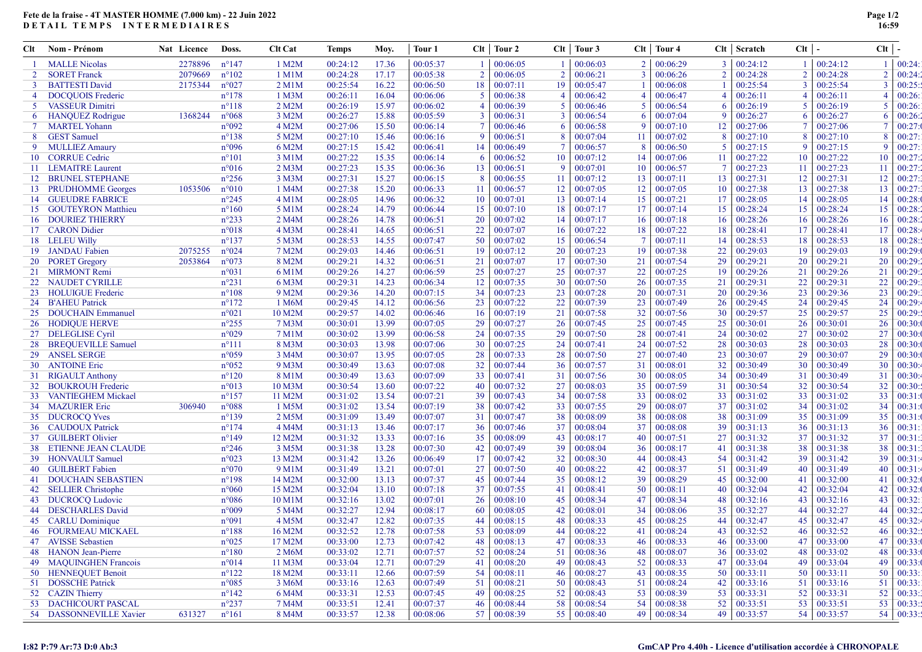## Fete de la fraise - 4T MASTER HOMME (7.000 km) - 22 Juin 2022 DETAIL TEMPS INTERMEDIAIRES

| C <sub>It</sub> | Nom - Prénom              | Nat Licence | Doss.           | <b>Clt Cat</b>     | <b>Temps</b> | Moy.  | Tour 1               |                | Clt   Tour 2 |                | $Clt$   Tour 3       |                 | $Clt$   Tour 4       |                             | $Clt$   Scratch    | $Clt$ -        |                      | $Clt$   -       |                 |
|-----------------|---------------------------|-------------|-----------------|--------------------|--------------|-------|----------------------|----------------|--------------|----------------|----------------------|-----------------|----------------------|-----------------------------|--------------------|----------------|----------------------|-----------------|-----------------|
|                 | <b>MALLE Nicolas</b>      | 2278896     | $n^{\circ}147$  | 1 M2M              | 00:24:12     | 17.36 | 00:05:37             |                | 00:06:05     |                | 00:06:03             |                 | 00:06:29             |                             | 3   00:24:12       | $\mathbf{1}$   | 00:24:12             |                 | $1 \mid 00:24:$ |
| 2               | <b>SORET Franck</b>       | 2079669     | $n^{\circ}102$  | 1 M1M              | 00:24:28     | 17.17 | 00:05:38             | $\overline{2}$ | 00:06:05     | $\overline{2}$ | 00:06:21             | $\mathbf{3}$    | 00:06:26             | $\mathcal{D}_{\mathcal{L}}$ | 00:24:28           | $\overline{2}$ | 00:24:28             | 2               | 00:24:2         |
| 3               | <b>BATTESTI David</b>     | 2175344     | $n^{\circ}027$  | $2$ M $1$ M        | 00:25:54     | 16.22 | 00:06:50             | 18             | 00:07:11     | 19             | 00:05:47             |                 | 00:06:08             |                             | 00:25:54           | 3              | 00:25:54             | $\overline{3}$  | 00:25:          |
| 4               | <b>DOCQUOIS Frederic</b>  |             | $n^{\circ}178$  | 1 M3M              | 00:26:11     | 16.04 | 00:06:06             | -5             | 00:06:38     | $\overline{4}$ | 00:06:42             |                 | 00:06:47             |                             | 00:26:11           | $\overline{4}$ | 00:26:11             | $\overline{4}$  | 00:26:          |
| 5.              | <b>VASSEUR Dimitri</b>    |             | $n^{\circ}118$  | 2 M2M              | 00:26:19     | 15.97 | 00:06:02             |                | 00:06:39     | -5             | 00:06:46             |                 | 00:06:54             |                             | 00:26:19           | 5              | 00:26:19             |                 | 00:26:          |
| 6               | <b>HANQUEZ</b> Rodrigue   | 1368244     | $n^{\circ}068$  | 3 M2M              | 00:26:27     | 15.88 | 00:05:59             | 3              | 00:06:31     | -3             | 00:06:54             | $\ddot{\sigma}$ | 00:07:04             |                             | 00:26:27           | 6              | 00:26:27             | -6              | 00:26:          |
| 7               | <b>MARTEL Yohann</b>      |             | n°092           | 4 M2M              | 00:27:06     | 15.50 | 00:06:14             |                | 00:06:46     | -6             | 00:06:58             | 9               | 00:07:10             | 12                          | 00:27:06           | 7              | 00:27:06             |                 | 00:27:          |
| 8               | <b>GEST</b> Samuel        |             | $n^{\circ}$ 138 | 5 M2M              | 00:27:10     | 15.46 | 00:06:16             | -9             | 00:06:51     | -8             | 00:07:04             | 11              | 00:07:02             | 8                           | 00:27:10           | 8              | 00:27:10             | -8              | 00:27:          |
| 9               | <b>MULLIEZ Amaury</b>     |             | n°096           | 6 M2M              | 00:27:15     | 15.42 | 00:06:41             | 14             | 00:06:49     | -7             | 00:06:57             | 8               | 00:06:50             | 5                           | 00:27:15           | 9              | 00:27:15             | -9              | 00:27:          |
| 10              | <b>CORRUE Cedric</b>      |             | $n^{\circ}101$  | 3 M1M              | 00:27:22     | 15.35 | 00:06:14             | -6             | 00:06:52     | 10             | 00:07:12             | 14              | 00:07:06             | -11                         | 00:27:22           | 10             | 00:27:22             | 10              | 00:27:          |
| -11             | <b>LEMAITRE Laurent</b>   |             | $n^{\circ}016$  | 2 M3M              | 00:27:23     | 15.35 | 00:06:36             | 13             | 00:06:51     | -9             | 00:07:01             | 10              | 00:06:57             |                             | 00:27:23           | 11             | 00:27:23             | 11              | 00:27:          |
|                 | 12 BRUNEL STEPHANE        |             | $n^{\circ}256$  | 3 M3M              | 00:27:31     | 15.27 | 00:06:15             |                | 00:06:55     | 11             | 00:07:12             | 13              | 00:07:11             | 13                          | 00:27:31           | 12             | 00:27:31             | 12              | 00:27:          |
| 13              | <b>PRUDHOMME</b> Georges  | 1053506     | $n^{\circ}010$  | 1 M4M              | 00:27:38     | 15.20 | 00:06:33             | -11            | 00:06:57     | 12             | 00:07:05             | 12              | 00:07:05             | 10                          | 00:27:38           | 13             | 00:27:38             | 13              | 00:27:          |
| 14              | <b>GUEUDRE FABRICE</b>    |             | $n^{\circ}245$  | $4$ M $1$ M        | 00:28:05     | 14.96 | 00:06:32             | 10             | 00:07:01     | 13             | 00:07:14             | 15              | 00:07:21             | 17                          | 00:28:05           | 14             | 00:28:05             | 14              | 00:28:          |
| 15              | <b>GOUTEYRON Matthieu</b> |             | $n^{\circ}160$  | 5 M1M              | 00:28:24     | 14.79 | 00:06:44             | 15             | 00:07:10     | 18             | 00:07:17             | 17              | 00:07:14             | 15                          | 00:28:24           | 15             | 00:28:24             | 15              | 00:28:          |
| 16              | <b>DOURIEZ THIERRY</b>    |             | $n^{\circ}233$  | 2 M4M              | 00:28:26     | 14.78 | 00:06:51             | 20             | 00:07:02     | 14             | 00:07:17             | 16              | 00:07:18             | 16                          | 00:28:26           | 16             | 00:28:26             | 16              | 00:28:          |
|                 | 17 CARON Didier           |             | n°018           | 4 M <sub>3</sub> M | 00:28:41     | 14.65 | 00:06:51             | 22             | 00:07:07     | 16             | 00:07:22             | 18              | 00:07:22             | 18                          | 00:28:41           | 17             | 00:28:41             | 17              | 00:28:          |
| 18              | <b>LELEU Willy</b>        |             | $n^{\circ}137$  | 5 M3M              | 00:28:53     | 14.55 | 00:07:47             | 50             | 00:07:02     | 15             | 00:06:54             |                 | 00:07:11             | 14                          | 00:28:53           | 18             | 00:28:53             | 18              | 00:28:          |
| 19              | <b>JANDAU</b> Fabien      | 2075255     | $n^{\circ}024$  | 7 M2M              | 00:29:03     | 14.46 | 00:06:51             | 19             | 00:07:12     | 20             | 00:07:23             | 19              | 00:07:38             | 22                          | 00:29:03           | 19             | 00:29:03             | 19              | 00:29:          |
| 20              | <b>PORET Gregory</b>      | 2053864     | $n^{\circ}073$  | 8 M2M              | 00:29:21     | 14.32 | 00:06:51             | 21             | 00:07:07     | 17             | 00:07:30             | 21              | 00:07:54             | 29                          | 00:29:21           | <b>20</b>      | 00:29:21             | 20              | 00:29:          |
| 21              | <b>MIRMONT Remi</b>       |             | n°031           | 6 M1M              | 00:29:26     | 14.27 | 00:06:59             | 25             | 00:07:27     | 25             | 00:07:37             | 22              | 00:07:25             | 19                          | 00:29:26           | 21             | 00:29:26             | 21              | 00:29:          |
| 22              | <b>NAUDET CYRILLE</b>     |             | $n^{\circ}231$  | 6 M3M              | 00:29:31     | 14.23 | 00:06:34             | 12             | 00:07:35     | 30             | 00:07:50             | 26              | 00:07:35             | 21                          | 00:29:31           | 22             | 00:29:31             | 22              | 00:29:          |
| 23              | <b>HOLUIGUE</b> Frederic  |             | $n^{\circ}108$  | 9 M2M              | 00:29:36     | 14.20 | 00:07:15             | 34             | 00:07:23     | 23             | 00:07:28             | 20              | 00:07:31             | 20                          | 00:29:36           | 23             | 00:29:36             | 23              | 00:29:          |
|                 | 24 B'AHEU Patrick         |             | $n^{\circ}172$  | 1 M6M              | 00:29:45     | 14.12 | 00:06:56             | 23             | 00:07:22     | 22             | 00:07:39             | 23              | 00:07:49             | 26                          | 00:29:45           | 24             | 00:29:45             | 24              | 00:29:          |
| 25              | <b>DOUCHAIN Emmanuel</b>  |             | $n^{\circ}021$  | 10 M2M             | 00:29:57     | 14.02 | 00:06:46             | 16             | 00:07:19     | 21             | 00:07:58             | 32              | 00:07:56             | 30                          | 00:29:57           | 25             | 00:29:57             | 25              | 00:29:          |
| 26              | <b>HODIOUE HERVE</b>      |             | $n^{\circ}255$  | 7 <sub>M3M</sub>   | 00:30:01     | 13.99 | 00:07:05             | 29             | 00:07:27     | 26             | 00:07:45             | 25              | 00:07:45             | 25                          | 00:30:01           | 26             | 00:30:01             | 26              | 00:30:          |
| 27              | <b>DELEGLISE</b> Cyril    |             | n°029           | 7 M1M              | 00:30:02     | 13.99 | 00:06:58             | 24             | 00:07:35     | 29             | 00:07:50             | 28              | 00:07:41             | 24                          | 00:30:02           | 27             | 00:30:02             | 27              | 00:30:          |
| 28              | <b>BREQUEVILLE Samuel</b> |             | $n^{\circ}111$  | 8 M3M              | 00:30:03     | 13.98 | 00:07:06             | 30             | 00:07:25     | 24             | 00:07:41             | 24              | 00:07:52             | 28                          | 00:30:03           | 28             | 00:30:03             | 28              | 00:30:          |
| 29              | <b>ANSEL SERGE</b>        |             | $n^{\circ}059$  | 3 M4M              | 00:30:07     | 13.95 | 00:07:05             | 28             | 00:07:33     | 28             | 00:07:50             | 27              | 00:07:40             | 23                          | 00:30:07           | 29             | 00:30:07             | 29              | 00:30:          |
| 30              | <b>ANTOINE Eric</b>       |             | $n^{\circ}052$  | 9 M3M              | 00:30:49     | 13.63 | 00:07:08             | 32             | 00:07:44     | 36             | 00:07:57             | 31              | 00:08:01             | 32                          | 00:30:49           | 30             | 00:30:49             | 30              | 00:30:          |
|                 | <b>RIGAULT</b> Anthony    |             | $n^{\circ}120$  | 8 M1M              |              |       |                      | 33             |              | 31             |                      | 30              |                      | 34                          |                    | 31             |                      | 31              | 00:30:          |
| 31              |                           |             | n°013           |                    | 00:30:49     | 13.63 | 00:07:09<br>00:07:22 |                | 00:07:41     | 27             | 00:07:56<br>00:08:03 |                 | 00:08:05<br>00:07:59 |                             | 00:30:49           |                | 00:30:49             |                 | 00:30:          |
| 32<br>33        | <b>BOUKROUH Frederic</b>  |             | $n^{\circ}157$  | 10 M3M<br>11 M2M   | 00:30:54     | 13.60 | 00:07:21             | 40<br>39       | 00:07:32     | 34             | 00:07:58             | 35<br>33        |                      | 31                          | 00:30:54           | 32<br>33       | 00:30:54<br>00:31:02 | 32<br>33        | 00:31:          |
|                 | <b>VANTIEGHEM Mickael</b> | 306940      | $n^{\circ}088$  |                    | 00:31:02     | 13.54 |                      |                | 00:07:43     | 33             |                      |                 | 00:08:02             | 33                          | 00:31:02           | 34             | 00:31:02             |                 | 00:31:          |
| 34              | <b>MAZURIER Eric</b>      |             |                 | 1 M5M              | 00:31:02     | 13.54 | 00:07:19             | 38             | 00:07:42     |                | 00:07:55             | 29              | 00:08:07             | 37                          | 00:31:02           |                |                      | 34              |                 |
| 35              | <b>DUCROCO</b> Yves       |             | $n^{\circ}139$  | 2 M <sub>5</sub> M | 00:31:09     | 13.49 | 00:07:07             | 31             | 00:07:47     | 38             | 00:08:09             | 38              | 00:08:08             | 38                          | 00:31:09           | 35             | 00:31:09             | 35              | 00:31:          |
|                 | 36 CAUDOUX Patrick        |             | $n^{\circ}174$  | 4 M4M              | 00:31:13     | 13.46 | 00:07:17             | 36             | 00:07:46     | 37             | 00:08:04             | 37              | 00:08:08             | 39                          | 00:31:13           | 36             | 00:31:13             | 36              | 00:31:          |
| 37              | <b>GUILBERT Olivier</b>   |             | $n^{\circ}149$  | 12 M2M             | 00:31:32     | 13.33 | 00:07:16             | 35             | 00:08:09     | 43             | 00:08:17             | 40              | 00:07:51             | 27                          | 00:31:32           | 37             | 00:31:32             | 37              | 00:31:          |
| 38              | ETIENNE JEAN CLAUDE       |             | $n^{\circ}246$  | 3 M5M              | 00:31:38     | 13.28 | 00:07:30             | 42             | 00:07:49     | 39             | 00:08:04             | 36              | 00:08:17             | 41                          | 00:31:38           | 38             | 00:31:38             | 38              | 00:31:          |
| 39              | <b>HONVAULT Samuel</b>    |             | n°023           | 13 M2M             | 00:31:42     | 13.26 | 00:06:49             | 17             | 00:07:42     | 32             | 00:08:30             | 44              | 00:08:43             | 54                          | 00:31:42           | 39             | 00:31:42             | 39              | 00:31:          |
| 40              | <b>GUILBERT</b> Fabien    |             | $n^{\circ}070$  | 9 M1M              | 00:31:49     | 13.21 | 00:07:01             | 27             | 00:07:50     | 40             | 00:08:22             | 42              | 00:08:37             | 51                          | 00:31:49           | 40             | 00:31:49             | 40              | 00:31:          |
| 41              | <b>DOUCHAIN SEBASTIEN</b> |             | $n^{\circ}198$  | 14 M2M             | 00:32:00     | 13.13 | 00:07:37             | 45             | 00:07:44     | 35             | 00:08:12             | 39              | 00:08:29             | 45                          | 00:32:00           | 41             | 00:32:00             | 41              | 00:32:          |
| 42              | <b>SELLIER</b> Christophe |             | $n^{\circ}060$  | 15 M2M             | 00:32:04     | 13.10 | 00:07:18             | 37             | 00:07:55     | 41             | 00:08:41             | 50              | 00:08:11             | 40                          | 00:32:04           | 42             | 00:32:04             | 42              | 00:32:          |
| 43              | <b>DUCROCQ Ludovic</b>    |             | $n^{\circ}086$  | 10 M1M             | 00:32:16     | 13.02 | 00:07:01             | 26             | 00:08:10     | 45             | 00:08:34             | 47              | 00:08:34             | 48                          | 00:32:16           | 43             | 00:32:16             | 43              | 00:32:          |
| 44              | <b>DESCHARLES David</b>   |             | n°009           | 5 M4M              | 00:32:27     | 12.94 | 00:08:17             | -60            | 00:08:05     | 42             | 00:08:01             | 34              | 00:08:06             | 35                          | 00:32:27           | 44             | 00:32:27             | 44              | 00:32:2         |
|                 | 45 CARLU Dominique        |             | n°091           | 4 M <sub>5</sub> M | 00:32:47     | 12.82 | 00:07:35             | 44             | 00:08:15     | 48             | 00:08:33             | 45              | 00:08:25             | 44                          | 00:32:47           | 45             | 00:32:47             | 45              | 00:32:4         |
|                 | 46 FOURMEAU MICKAEL       |             | $n^{\circ}188$  | 16 M2M             | 00:32:52     | 12.78 | 00:07:58             | 53             | 00:08:09     |                | 44   00:08:22        | 41              | 00:08:24             |                             | $43 \mid 00:32:52$ | 46             | 00:32:52             |                 | $46 \mid 00:32$ |
|                 | 47 AVISSE Sebastien       |             | $n^{\circ}025$  | 17 M2M             | 00:33:00     | 12.73 | 00:07:42             | 48             | 00:08:13     | 47             | 00:08:33             | 46              | 00:08:33             | 46                          | 00:33:00           | 47             | 00:33:00             | 47              | 00:33:0         |
|                 | 48 HANON Jean-Pierre      |             | $n^{\circ}180$  | 2 M6M              | 00:33:02     | 12.71 | 00:07:57             | 52             | 00:08:24     | 51             | 00:08:36             | 48              | 00:08:07             | 36                          | 00:33:02           | 48             | 00:33:02             | 48              | 00:33:          |
|                 | 49 MAQUINGHEN Francois    |             | $n^{\circ}014$  | 11 M3M             | 00:33:04     | 12.71 | 00:07:29             | 41             | 00:08:20     | 49             | 00:08:43             | 52              | 00:08:33             | 47                          | 00:33:04           | 49             | 00:33:04             | 49              | 00:33:0         |
|                 | 50 HENNEOUET Benoit       |             | $n^{\circ}122$  | 18 M2M             | 00:33:11     | 12.66 | 00:07:59             | 54             | 00:08:11     | 46             | 00:08:27             | 43              | 00:08:35             | 50                          | 00:33:11           | 50             | 00:33:11             | 50 <sup>1</sup> | 00:33:          |
|                 | 51 DOSSCHE Patrick        |             | $n^{\circ}085$  | 3 M6M              | 00:33:16     | 12.63 | 00:07:49             | -51            | 00:08:21     | 50             | 00:08:43             | 51              | 00:08:24             | 42                          | 00:33:16           | 51             | 00:33:16             | 51              | 00:33:          |
|                 | 52 CAZIN Thierry          |             | $n^{\circ}142$  | 6 M4M              | 00:33:31     | 12.53 | 00:07:45             | 49             | 00:08:25     | 52             | 00:08:43             | 53              | 00:08:39             | 53                          | 00:33:31           | 52             | 00:33:31             | 52              | 00:33:          |
|                 | 53 DACHICOURT PASCAL      |             | $n^{\circ}237$  | 7 M4M              | 00:33:51     | 12.41 | 00:07:37             | 46             | 00:08:44     | 58             | 00:08:54             | 54              | 00:08:38             | 52                          | 00:33:51           | 53             | 00:33:51             |                 | 53   $00:33:5$  |
|                 | 54 DASSONNEVILLE Xavier   | 631327      | $n^{\circ}161$  | 8 M4M              | 00:33:57     | 12.38 | 00:08:06             | 57             | 00:08:39     |                | 55 00:08:40          |                 | 49   $00:08:34$      |                             | 49   $00:33:57$    |                | $54 \mid 00:33:57$   |                 | 54   00:33:5    |